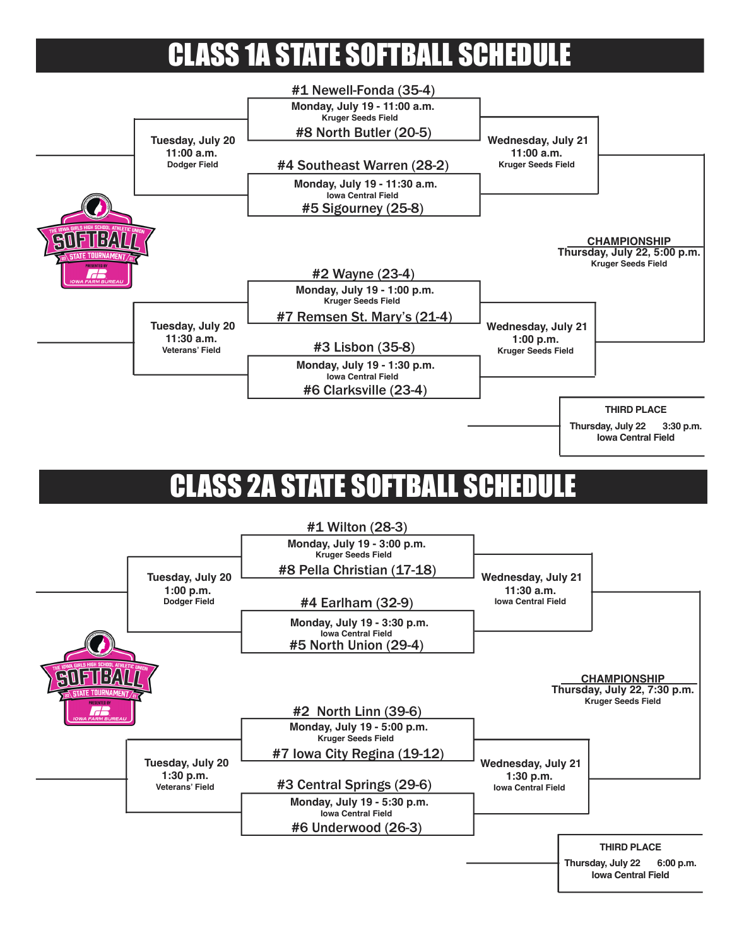# **CLASS 1A STATE SOFTBALL SCHEDU**



#### CLASS 2A STATE SOFTBALL SCHEDULE

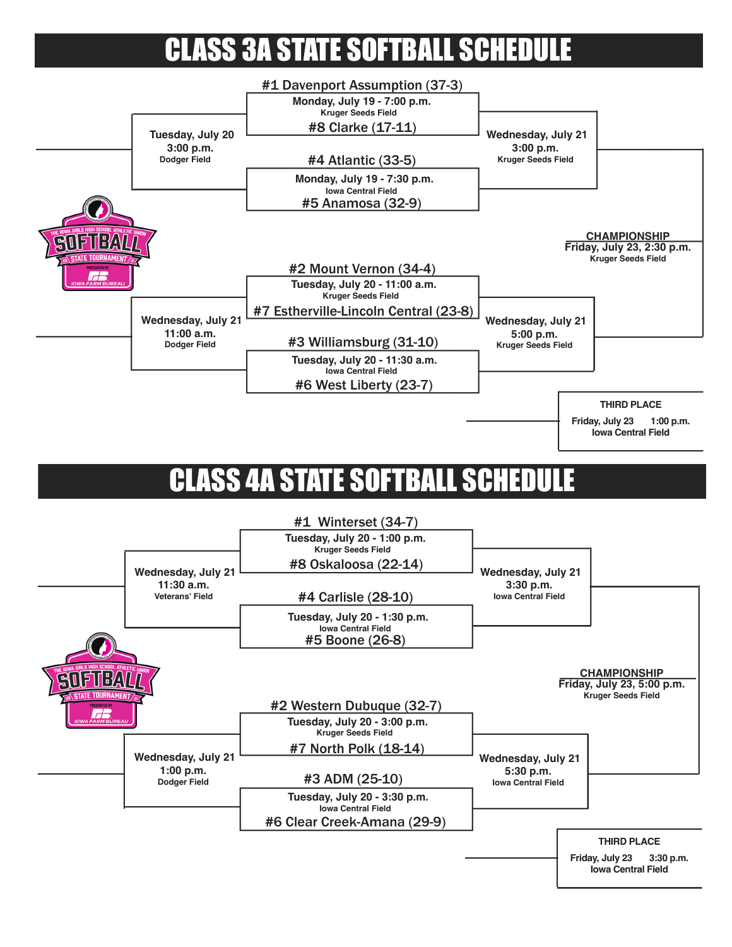# CLASS 3A STATE SOFTBALL SCHEDU



# **CLASS 4A STATE SOFTBALL SCH**